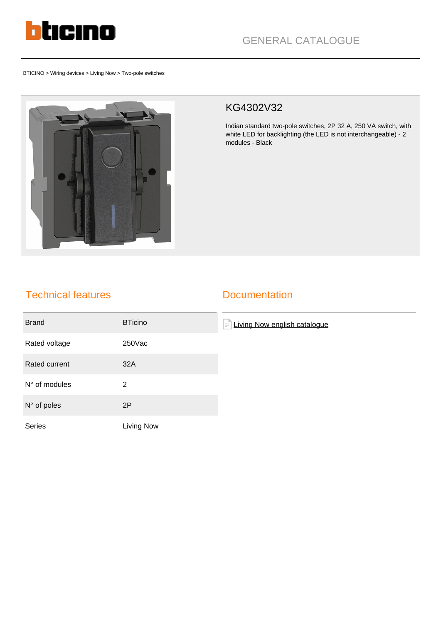

BTICINO > Wiring devices > Living Now > Two-pole switches



## KG4302V32

Indian standard two-pole switches, 2P 32 A, 250 VA switch, with white LED for backlighting (the LED is not interchangeable) - 2 modules - Black

## Technical features

## **Documentation**

| <b>Brand</b>         | <b>BTicino</b> | Living Now english catalogue<br>$\equiv$ |
|----------------------|----------------|------------------------------------------|
| Rated voltage        | 250Vac         |                                          |
| Rated current        | 32A            |                                          |
| N° of modules        | 2              |                                          |
| $N^{\circ}$ of poles | 2P             |                                          |
| Series               | Living Now     |                                          |